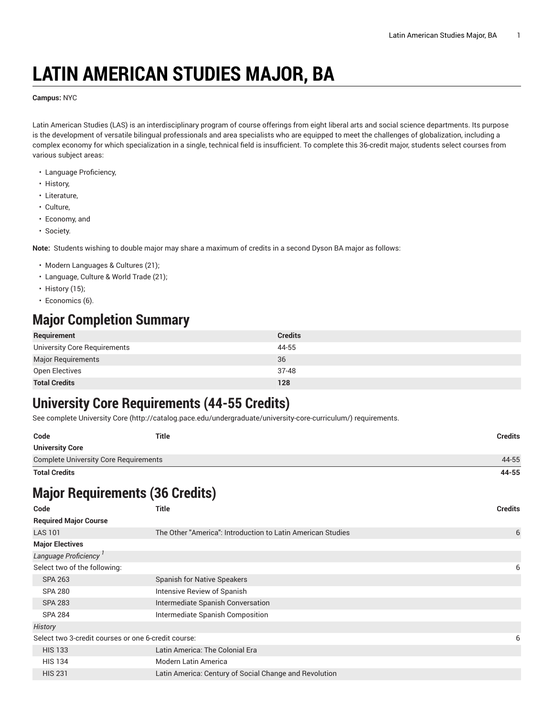# **LATIN AMERICAN STUDIES MAJOR, BA**

**Campus:** NYC

Latin American Studies (LAS) is an interdisciplinary program of course offerings from eight liberal arts and social science departments. Its purpose is the development of versatile bilingual professionals and area specialists who are equipped to meet the challenges of globalization, including a complex economy for which specialization in a single, technical field is insufficient. To complete this 36-credit major, students select courses from various subject areas:

- Language Proficiency,
- History,
- Literature,
- Culture,
- Economy, and
- Society.

**Note:** Students wishing to double major may share a maximum of credits in a second Dyson BA major as follows:

- Modern Languages & Cultures (21);
- Language, Culture & World Trade (21);
- History (15);
- Economics (6).

#### **Major Completion Summary**

| Requirement                  | <b>Credits</b> |
|------------------------------|----------------|
| University Core Requirements | 44-55          |
| <b>Major Requirements</b>    | 36             |
| Open Electives               | $37-48$        |
| <b>Total Credits</b>         | 128            |

### **University Core Requirements (44-55 Credits)**

See complete [University](http://catalog.pace.edu/undergraduate/university-core-curriculum/) Core (<http://catalog.pace.edu/undergraduate/university-core-curriculum/>) requirements.

| Code                                         | <b>Title</b> | <b>Credits</b> |
|----------------------------------------------|--------------|----------------|
| <b>University Core</b>                       |              |                |
| <b>Complete University Core Requirements</b> |              | 44-55          |
| <b>Total Credits</b>                         |              | 44-55          |

## **Major Requirements (36 Credits)**

| Code                                                | <b>Title</b>                                                | <b>Credits</b> |
|-----------------------------------------------------|-------------------------------------------------------------|----------------|
| <b>Required Major Course</b>                        |                                                             |                |
| <b>LAS 101</b>                                      | The Other "America": Introduction to Latin American Studies | 6              |
| <b>Major Electives</b>                              |                                                             |                |
| Language Proficiency                                |                                                             |                |
| Select two of the following:                        |                                                             | 6              |
| <b>SPA 263</b>                                      | <b>Spanish for Native Speakers</b>                          |                |
| <b>SPA 280</b>                                      | Intensive Review of Spanish                                 |                |
| <b>SPA 283</b>                                      | Intermediate Spanish Conversation                           |                |
| <b>SPA 284</b>                                      | Intermediate Spanish Composition                            |                |
| History                                             |                                                             |                |
| Select two 3-credit courses or one 6-credit course: |                                                             | 6              |
| <b>HIS 133</b>                                      | Latin America: The Colonial Era                             |                |
| <b>HIS 134</b>                                      | <b>Modern Latin America</b>                                 |                |
| <b>HIS 231</b>                                      | Latin America: Century of Social Change and Revolution      |                |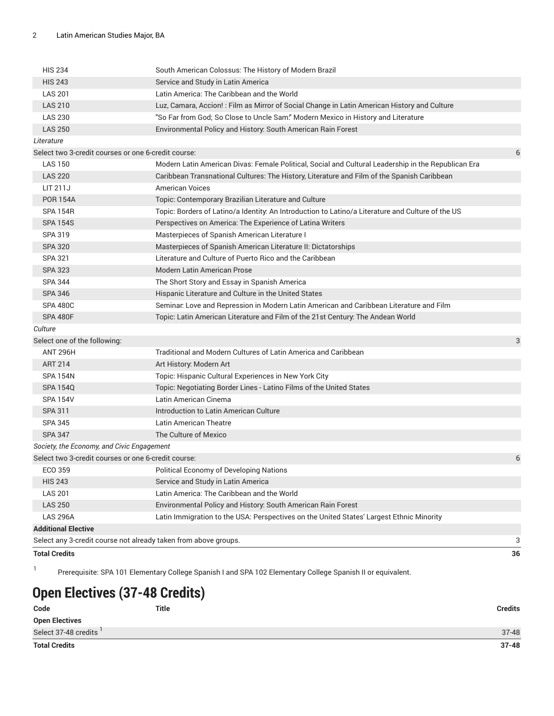| <b>Total Credits</b>                                            |                                                                                                     | 36 |
|-----------------------------------------------------------------|-----------------------------------------------------------------------------------------------------|----|
| Select any 3-credit course not already taken from above groups. |                                                                                                     | 3  |
| <b>Additional Elective</b>                                      |                                                                                                     |    |
| <b>LAS 296A</b>                                                 | Latin Immigration to the USA: Perspectives on the United States' Largest Ethnic Minority            |    |
| <b>LAS 250</b>                                                  | Environmental Policy and History: South American Rain Forest                                        |    |
| <b>LAS 201</b>                                                  | Latin America: The Caribbean and the World                                                          |    |
| <b>HIS 243</b>                                                  | Service and Study in Latin America                                                                  |    |
| ECO 359                                                         | Political Economy of Developing Nations                                                             |    |
| Select two 3-credit courses or one 6-credit course:             |                                                                                                     | 6  |
| Society, the Economy, and Civic Engagement                      |                                                                                                     |    |
| <b>SPA 347</b>                                                  | The Culture of Mexico                                                                               |    |
| <b>SPA 345</b>                                                  | Latin American Theatre                                                                              |    |
| SPA 311                                                         | Introduction to Latin American Culture                                                              |    |
| <b>SPA 154V</b>                                                 | Latin American Cinema                                                                               |    |
| <b>SPA 154Q</b>                                                 | Topic: Negotiating Border Lines - Latino Films of the United States                                 |    |
| <b>SPA 154N</b>                                                 | Topic: Hispanic Cultural Experiences in New York City                                               |    |
| <b>ART 214</b>                                                  | Art History: Modern Art                                                                             |    |
| <b>ANT 296H</b>                                                 | Traditional and Modern Cultures of Latin America and Caribbean                                      |    |
| Select one of the following:                                    |                                                                                                     | 3  |
| Culture                                                         |                                                                                                     |    |
| <b>SPA 480F</b>                                                 | Topic: Latin American Literature and Film of the 21st Century: The Andean World                     |    |
| <b>SPA 480C</b>                                                 | Seminar. Love and Repression in Modern Latin American and Caribbean Literature and Film             |    |
| <b>SPA 346</b>                                                  | Hispanic Literature and Culture in the United States                                                |    |
| <b>SPA 344</b>                                                  | The Short Story and Essay in Spanish America                                                        |    |
| <b>SPA 323</b>                                                  | <b>Modern Latin American Prose</b>                                                                  |    |
| <b>SPA 321</b>                                                  | Literature and Culture of Puerto Rico and the Caribbean                                             |    |
| <b>SPA 320</b>                                                  | Masterpieces of Spanish American Literature II: Dictatorships                                       |    |
| SPA 319                                                         | Masterpieces of Spanish American Literature I                                                       |    |
| <b>SPA 154S</b>                                                 | Perspectives on America: The Experience of Latina Writers                                           |    |
| <b>SPA 154R</b>                                                 | Topic: Borders of Latino/a Identity: An Introduction to Latino/a Literature and Culture of the US   |    |
| <b>POR 154A</b>                                                 | Topic: Contemporary Brazilian Literature and Culture                                                |    |
| LIT 211J                                                        | <b>American Voices</b>                                                                              |    |
| <b>LAS 220</b>                                                  | Caribbean Transnational Cultures: The History, Literature and Film of the Spanish Caribbean         |    |
| <b>LAS 150</b>                                                  | Modern Latin American Divas: Female Political, Social and Cultural Leadership in the Republican Era |    |
| Select two 3-credit courses or one 6-credit course:             |                                                                                                     | 6  |
| Literature                                                      |                                                                                                     |    |
| <b>LAS 250</b>                                                  | Environmental Policy and History: South American Rain Forest                                        |    |
| <b>LAS 230</b>                                                  | "So Far from God; So Close to Uncle Sam." Modern Mexico in History and Literature                   |    |
| <b>LAS 210</b>                                                  | Luz, Camara, Accion! : Film as Mirror of Social Change in Latin American History and Culture        |    |
| <b>LAS 201</b>                                                  | Latin America: The Caribbean and the World                                                          |    |
| <b>HIS 243</b>                                                  | Service and Study in Latin America                                                                  |    |
| <b>HIS 234</b>                                                  | South American Colossus: The History of Modern Brazil                                               |    |

1 Prerequisite: SPA 101 Elementary College Spanish I and SPA 102 Elementary College Spanish II or equivalent.

## **Open Electives (37-48 Credits)**

| Code                  | Title | <b>Credits</b> |
|-----------------------|-------|----------------|
| <b>Open Electives</b> |       |                |
| Select 37-48 credits  |       | $37 - 48$      |
| <b>Total Credits</b>  |       | $37 - 48$      |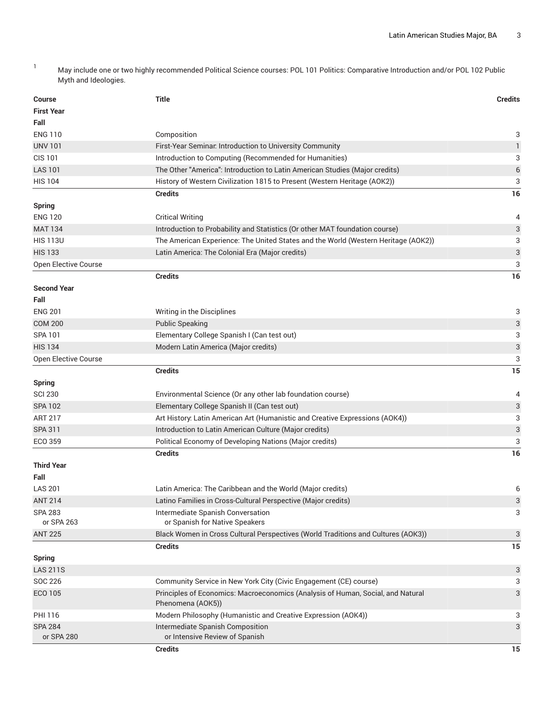1 May include one or two highly recommended Political Science courses: POL 101 Politics: Comparative Introduction and/or POL 102 Public Myth and Ideologies.

| <b>Course</b>                    | <b>Title</b>                                                                                                      | <b>Credits</b> |
|----------------------------------|-------------------------------------------------------------------------------------------------------------------|----------------|
| <b>First Year</b>                |                                                                                                                   |                |
| Fall                             |                                                                                                                   |                |
| <b>ENG 110</b>                   | Composition                                                                                                       | 3              |
| <b>UNV 101</b>                   | First-Year Seminar. Introduction to University Community                                                          | 1              |
| <b>CIS 101</b>                   | Introduction to Computing (Recommended for Humanities)                                                            | 3              |
| <b>LAS 101</b>                   | The Other "America": Introduction to Latin American Studies (Major credits)                                       | 6              |
| <b>HIS 104</b>                   | History of Western Civilization 1815 to Present (Western Heritage (AOK2))                                         | 3              |
|                                  | <b>Credits</b>                                                                                                    | 16             |
| <b>Spring</b>                    |                                                                                                                   |                |
| <b>ENG 120</b>                   | <b>Critical Writing</b>                                                                                           | 4              |
| <b>MAT 134</b>                   | Introduction to Probability and Statistics (Or other MAT foundation course)                                       | 3              |
| <b>HIS 113U</b>                  | The American Experience: The United States and the World (Western Heritage (AOK2))                                | 3              |
| <b>HIS 133</b>                   | Latin America: The Colonial Era (Major credits)                                                                   | 3              |
| Open Elective Course             |                                                                                                                   | 3              |
|                                  | <b>Credits</b>                                                                                                    | 16             |
| <b>Second Year</b>               |                                                                                                                   |                |
| Fall                             |                                                                                                                   |                |
| <b>ENG 201</b>                   | Writing in the Disciplines                                                                                        | 3              |
| <b>COM 200</b>                   | <b>Public Speaking</b>                                                                                            | 3              |
| SPA 101                          | Elementary College Spanish I (Can test out)                                                                       | 3              |
| <b>HIS 134</b>                   | Modern Latin America (Major credits)                                                                              | 3              |
| Open Elective Course             |                                                                                                                   | 3              |
|                                  | <b>Credits</b>                                                                                                    | 15             |
| <b>Spring</b>                    |                                                                                                                   |                |
| <b>SCI 230</b>                   | Environmental Science (Or any other lab foundation course)                                                        | 4              |
| <b>SPA 102</b>                   | Elementary College Spanish II (Can test out)                                                                      | 3              |
| <b>ART 217</b><br><b>SPA 311</b> | Art History: Latin American Art (Humanistic and Creative Expressions (AOK4))                                      | 3<br>3         |
| ECO 359                          | Introduction to Latin American Culture (Major credits)<br>Political Economy of Developing Nations (Major credits) | 3              |
|                                  | <b>Credits</b>                                                                                                    | 16             |
| <b>Third Year</b>                |                                                                                                                   |                |
| Fall                             |                                                                                                                   |                |
| <b>LAS 201</b>                   | Latin America: The Caribbean and the World (Major credits)                                                        | 6              |
| <b>ANT 214</b>                   | Latino Families in Cross-Cultural Perspective (Major credits)                                                     | 3              |
| <b>SPA 283</b>                   | Intermediate Spanish Conversation                                                                                 | 3              |
| or SPA 263                       | or Spanish for Native Speakers                                                                                    |                |
| <b>ANT 225</b>                   | Black Women in Cross Cultural Perspectives (World Traditions and Cultures (AOK3))                                 | 3              |
|                                  | <b>Credits</b>                                                                                                    | 15             |
| <b>Spring</b>                    |                                                                                                                   |                |
| <b>LAS 211S</b>                  |                                                                                                                   | 3              |
| SOC 226                          | Community Service in New York City (Civic Engagement (CE) course)                                                 | 3              |
| ECO 105                          | Principles of Economics: Macroeconomics (Analysis of Human, Social, and Natural                                   | 3              |
|                                  | Phenomena (AOK5))                                                                                                 |                |
| PHI 116                          | Modern Philosophy (Humanistic and Creative Expression (AOK4))                                                     | 3              |
| <b>SPA 284</b><br>or SPA 280     | Intermediate Spanish Composition<br>or Intensive Review of Spanish                                                | 3              |
|                                  | <b>Credits</b>                                                                                                    | 15             |